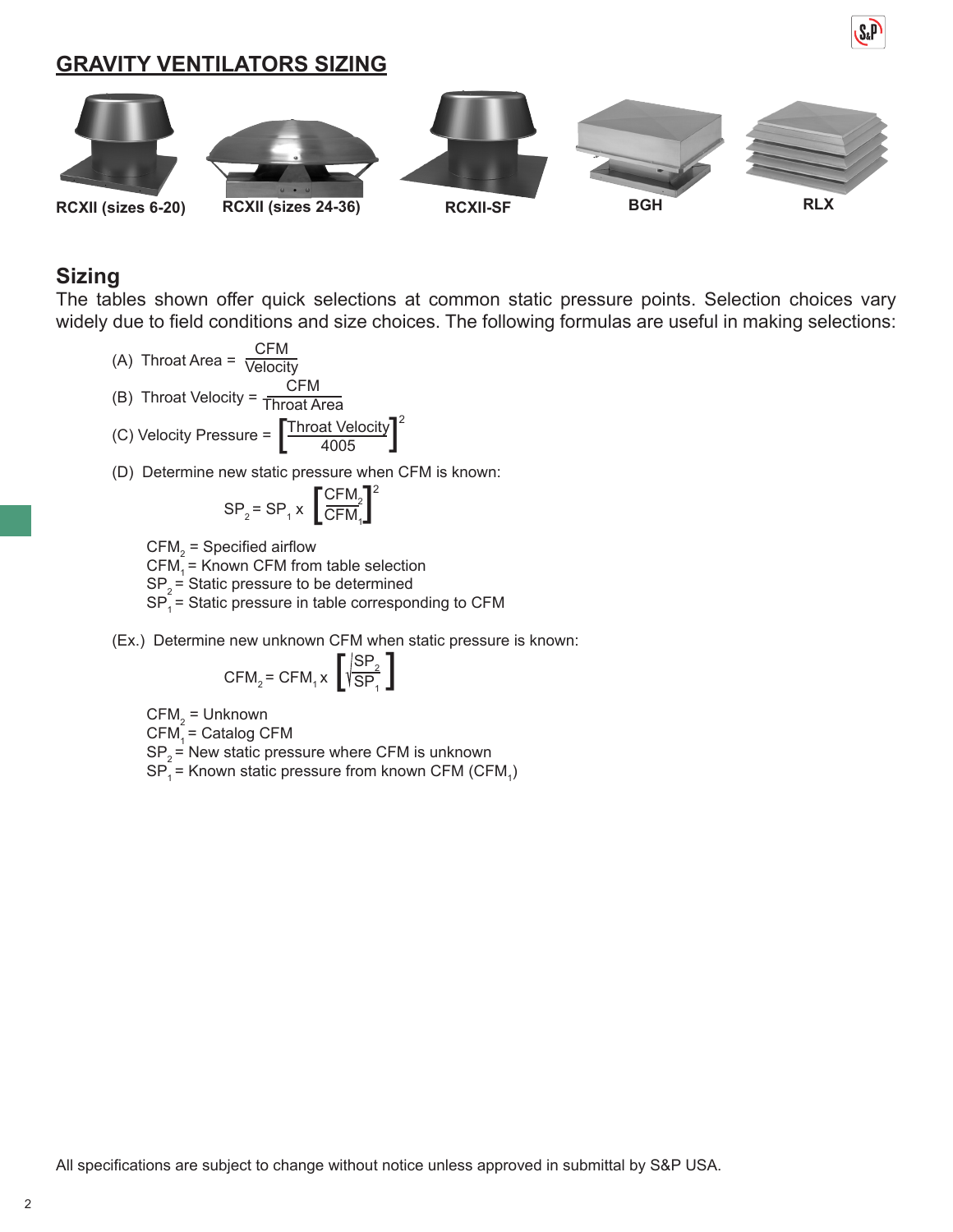**GRAVITY VENTILATORS SIZING**



#### **Sizing**

The tables shown offer quick selections at common static pressure points. Selection choices vary widely due to field conditions and size choices. The following formulas are useful in making selections:

- (A) Throat Area =  $\frac{CFM}{Velocit}$ Velocity
- (B) Throat Velocity = Throat Area CFM

(C) Velocity Pressure = 
$$
\left[\frac{\text{Throat Velocity}}{4005}\right]^2
$$

(D) Determine new static pressure when CFM is known:

$$
SP_2 = SP_1 \times \left[\frac{CFM_2}{CFM_1}\right]^2
$$

 $\mathsf{CFM}_2^{}$  = Specified airflow

 $CFM<sub>4</sub>$  = Known CFM from table selection

 $SP<sub>2</sub>$  = Static pressure to be determined

- $SP<sub>1</sub><sup>-</sup>$  = Static pressure in table corresponding to CFM
- (Ex.) Determine new unknown CFM when static pressure is known:

$$
CFM_2 = CFM_1 \times \left[\sqrt{\frac{SP_2}{SP_1}}\right]
$$

 $\mathsf{CFM}_2^{}$  = Unknown  $CFM<sub>4</sub> =$  Catalog CFM  $SP<sub>2</sub>$  = New static pressure where CFM is unknown  $\text{SP}_{\text{\tiny{1}}}$ = Known static pressure from known CFM (CFM $_{\text{\tiny{1}}}$ )

All specifications are subject to change without notice unless approved in submittal by S&P USA.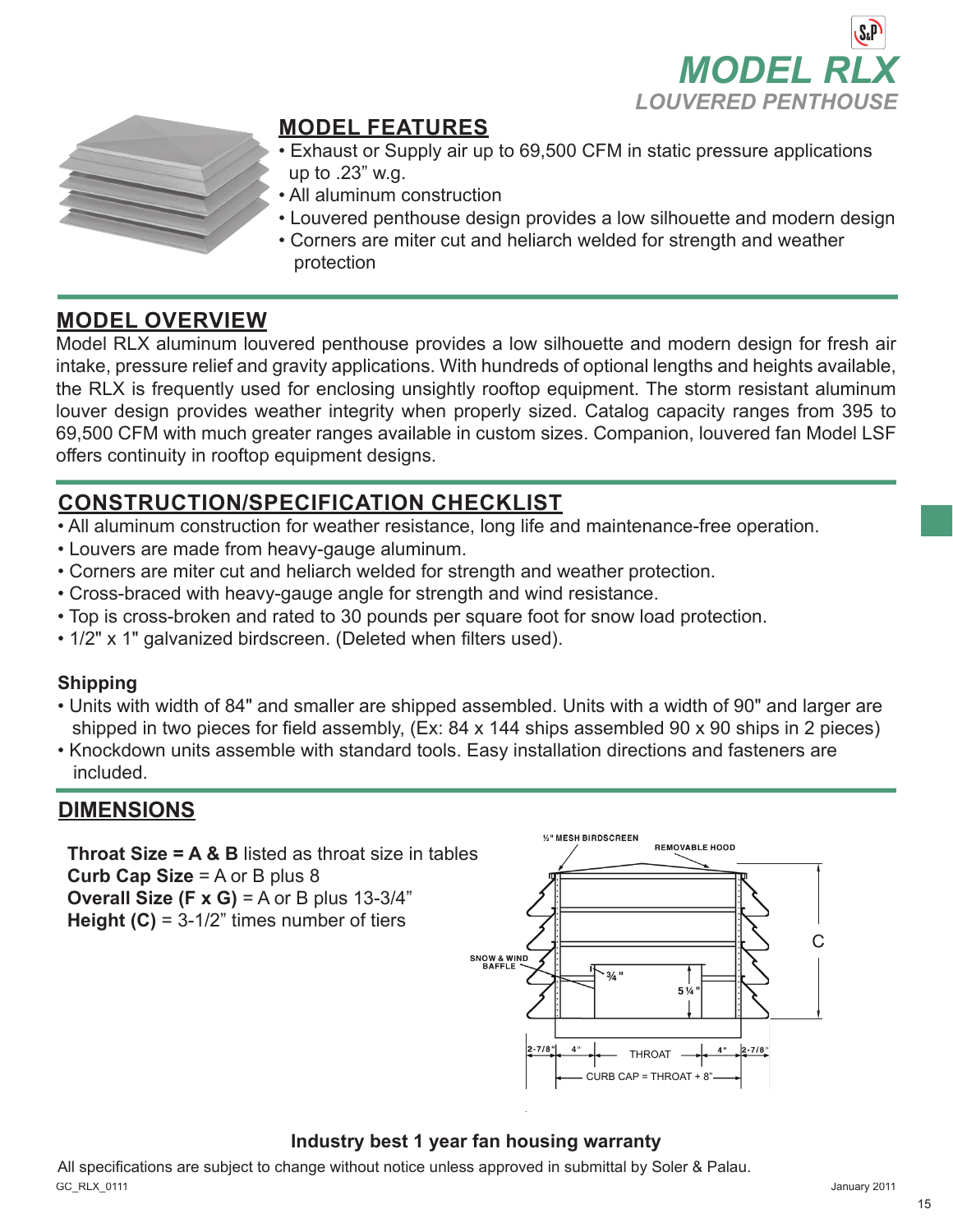



## **MODEL FEATURES**

- Exhaust or Supply air up to 69,500 CFM in static pressure applications up to .23" w.g.
- All aluminum construction
- Louvered penthouse design provides a low silhouette and modern design
- Corners are miter cut and heliarch welded for strength and weather protection

## **MODEL OVERVIEW**

Model RLX aluminum louvered penthouse provides a low silhouette and modern design for fresh air intake, pressure relief and gravity applications. With hundreds of optional lengths and heights available, the RLX is frequently used for enclosing unsightly rooftop equipment. The storm resistant aluminum louver design provides weather integrity when properly sized. Catalog capacity ranges from 395 to 69,500 CFM with much greater ranges available in custom sizes. Companion, louvered fan Model LSF offers continuity in rooftop equipment designs.

## **CONSTRUCTION/SPECIFICATION CHECKLIST**

- All aluminum construction for weather resistance, long life and maintenance-free operation.
- Louvers are made from heavy-gauge aluminum.
- Corners are miter cut and heliarch welded for strength and weather protection.
- Cross-braced with heavy-gauge angle for strength and wind resistance.
- Top is cross-broken and rated to 30 pounds per square foot for snow load protection.
- 1/2" x 1" galvanized birdscreen. (Deleted when filters used).

#### **Shipping**

- Units with width of 84" and smaller are shipped assembled. Units with a width of 90" and larger are shipped in two pieces for field assembly, (Ex: 84 x 144 ships assembled 90 x 90 ships in 2 pieces)
- Knockdown units assemble with standard tools. Easy installation directions and fasteners are included.

### **DIMENSIONS**

**Throat Size = A & B** listed as throat size in tables **Curb Cap Size** = A or B plus 8 **Overall Size (F x G)** = A or B plus 13-3/4" **Height (C)** = 3-1/2" times number of tiers



#### **Industry best 1 year fan housing warranty**

GC\_RLX\_0111 January 2011 All specifications are subject to change without notice unless approved in submittal by Soler & Palau.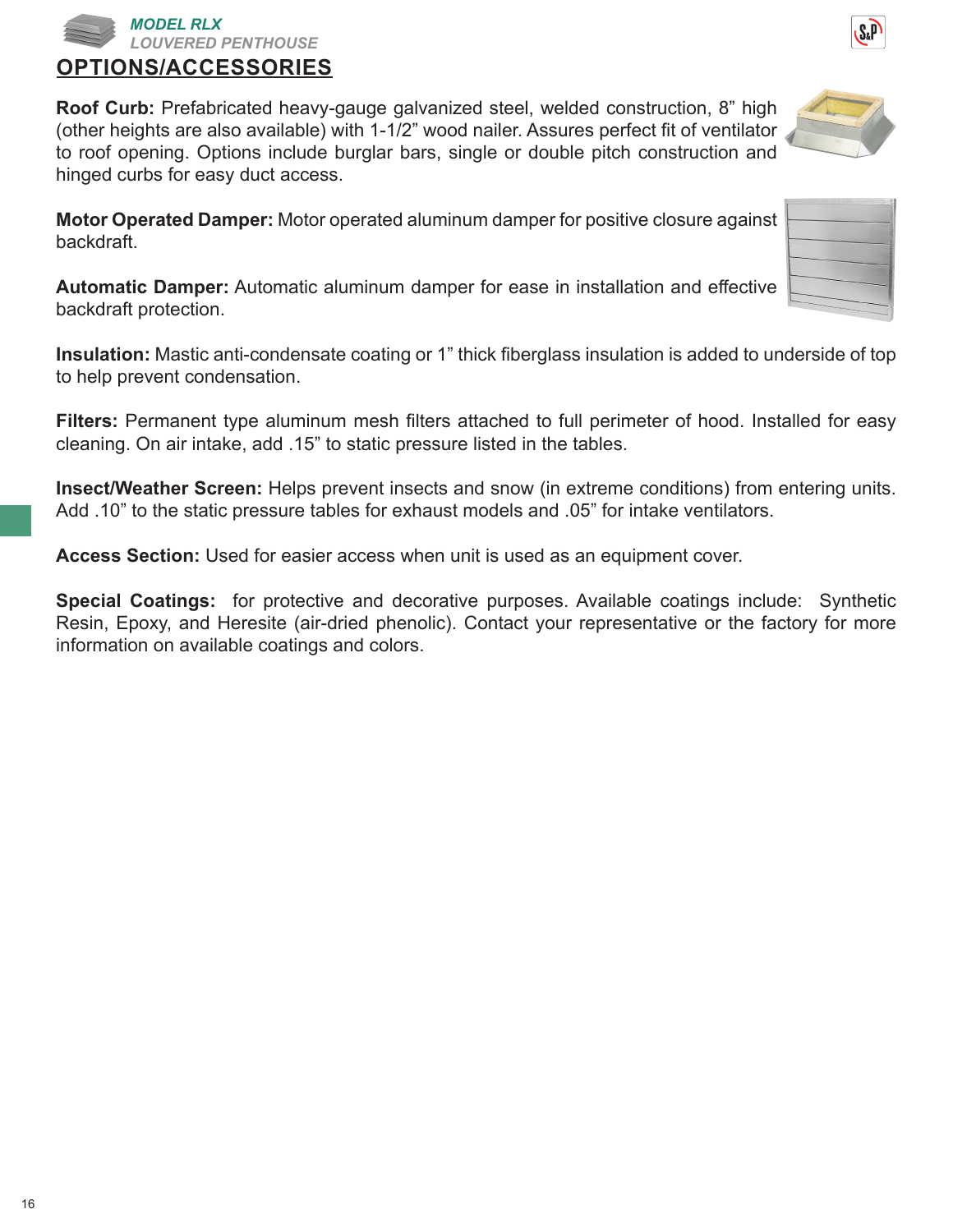**Roof Curb:** Prefabricated heavy-gauge galvanized steel, welded construction, 8" high (other heights are also available) with 1-1/2" wood nailer. Assures perfect fit of ventilator to roof opening. Options include burglar bars, single or double pitch construction and hinged curbs for easy duct access.

**Motor Operated Damper:** Motor operated aluminum damper for positive closure against backdraft.

**Automatic Damper:** Automatic aluminum damper for ease in installation and effective backdraft protection.

**Insulation:** Mastic anti-condensate coating or 1" thick fiberglass insulation is added to underside of top to help prevent condensation.

**Filters:** Permanent type aluminum mesh filters attached to full perimeter of hood. Installed for easy cleaning. On air intake, add .15" to static pressure listed in the tables.

**Insect/Weather Screen:** Helps prevent insects and snow (in extreme conditions) from entering units. Add .10" to the static pressure tables for exhaust models and .05" for intake ventilators.

**Access Section:** Used for easier access when unit is used as an equipment cover.

**Special Coatings:** for protective and decorative purposes. Available coatings include: Synthetic Resin, Epoxy, and Heresite (air-dried phenolic). Contact your representative or the factory for more information on available coatings and colors.







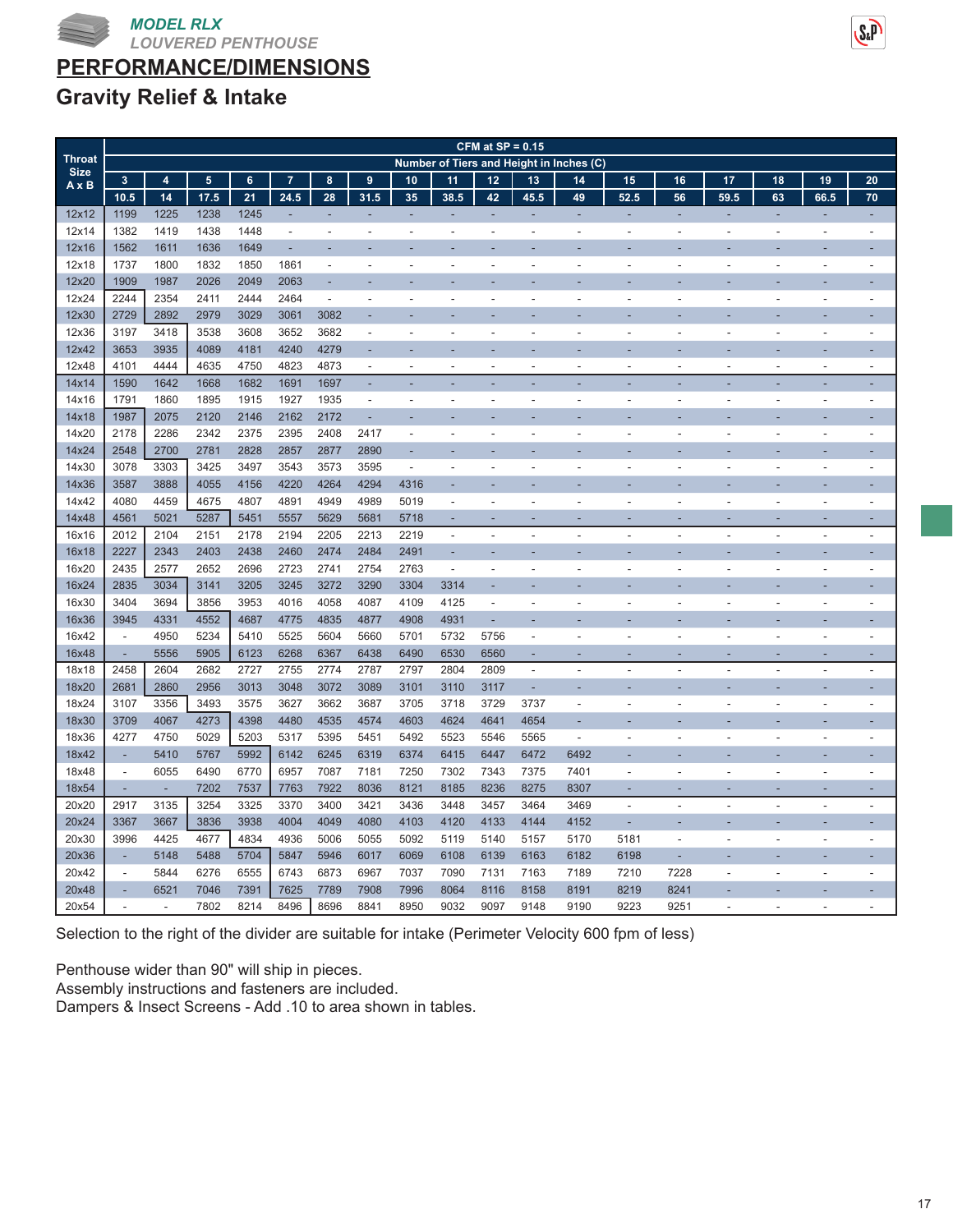



## **Gravity Relief & Intake**

|                             |                          | CFM at $SP = 0.15$<br>Number of Tiers and Height in Inches (C) |                 |                |                |                          |                          |                          |                          |                |                          |                |                          |      |                          |                          |                          |                          |
|-----------------------------|--------------------------|----------------------------------------------------------------|-----------------|----------------|----------------|--------------------------|--------------------------|--------------------------|--------------------------|----------------|--------------------------|----------------|--------------------------|------|--------------------------|--------------------------|--------------------------|--------------------------|
| <b>Throat</b>               |                          |                                                                |                 |                |                |                          |                          |                          |                          |                |                          |                |                          |      |                          |                          |                          |                          |
| <b>Size</b><br>$A \times B$ | $\mathbf{3}$             | $\overline{4}$                                                 | $5\phantom{.0}$ | 6 <sup>1</sup> | $\overline{7}$ | 8                        | 9                        | 10                       | 11                       | 12             | 13                       | 14             | 15                       | 16   | 17                       | 18                       | 19                       | 20                       |
|                             | 10.5                     | 14                                                             | 17.5            | 21             | 24.5           | 28                       | 31.5                     | 35                       | 38.5                     | 42             | 45.5                     | 49             | 52.5                     | 56   | 59.5                     | 63                       | 66.5                     | 70                       |
| 12x12                       | 1199                     | 1225                                                           | 1238            | 1245           | ٠              | ٠                        | ÷                        | ٠                        | ٠                        | ٠              | ٠                        | ÷,             | ÷,                       | ÷,   | ÷,                       | ÷,                       | ÷,                       | ÷,                       |
| 12x14                       | 1382                     | 1419                                                           | 1438            | 1448           | ÷.             | $\overline{\phantom{a}}$ | ÷.                       | ٠                        | $\overline{\phantom{a}}$ | $\overline{a}$ | ٠                        | ٠              | ÷.                       | ÷    |                          | ÷.                       | ٠                        | $\overline{\phantom{a}}$ |
| 12x16                       | 1562                     | 1611                                                           | 1636            | 1649           | L.             |                          |                          |                          |                          |                |                          |                |                          |      |                          |                          |                          |                          |
| 12x18                       | 1737                     | 1800                                                           | 1832            | 1850           | 1861           | $\overline{\phantom{a}}$ | ٠                        |                          |                          |                | $\overline{a}$           | Ĭ.             | L,                       | ÷    |                          | ٠                        | ÷,                       |                          |
| 12x20                       | 1909                     | 1987                                                           | 2026            | 2049           | 2063           |                          |                          |                          |                          |                |                          |                |                          |      |                          |                          |                          |                          |
| 12x24                       | 2244                     | 2354                                                           | 2411            | 2444           | 2464           | $\overline{a}$           | L,                       | $\overline{\phantom{a}}$ | $\overline{\phantom{a}}$ | $\overline{a}$ | ÷,                       | ÷,             | $\overline{a}$           | ÷,   |                          | $\overline{a}$           | $\overline{a}$           | L.                       |
| 12x30                       | 2729                     | 2892                                                           | 2979            | 3029           | 3061           | 3082                     |                          |                          |                          |                |                          |                |                          |      |                          |                          |                          |                          |
| 12x36                       | 3197                     | 3418                                                           | 3538            | 3608           | 3652           | 3682                     | $\overline{a}$           |                          |                          |                | L,                       |                |                          | L,   |                          |                          | L,                       |                          |
| 12x42                       | 3653                     | 3935                                                           | 4089            | 4181           | 4240           | 4279                     |                          |                          |                          |                |                          |                |                          |      |                          |                          |                          |                          |
| 12x48                       | 4101                     | 4444                                                           | 4635            | 4750           | 4823           | 4873                     | $\overline{\phantom{a}}$ | $\overline{a}$           | $\overline{\phantom{a}}$ | $\overline{a}$ | ÷,                       | Ĭ.             | $\overline{a}$           | ÷,   |                          | $\blacksquare$           | $\overline{a}$           | $\overline{a}$           |
| 14x14                       | 1590                     | 1642                                                           | 1668            | 1682           | 1691           | 1697                     | ÷.                       | ٠                        |                          | ٠              | ÷,                       | ٠              | ÷                        | ä,   |                          | ä,                       | L,                       | ÷,                       |
| 14x16                       | 1791                     | 1860                                                           | 1895            | 1915           | 1927           | 1935                     | $\blacksquare$           | ٠                        |                          |                | ÷,                       | ÷,             | $\overline{a}$           | ÷,   |                          | ÷,                       | $\overline{\phantom{a}}$ | $\overline{a}$           |
| 14x18                       | 1987                     | 2075                                                           | 2120            | 2146           | 2162           | 2172                     | ä,                       |                          |                          |                |                          |                |                          |      |                          |                          |                          |                          |
| 14x20                       | 2178                     | 2286                                                           | 2342            | 2375           | 2395           | 2408                     | 2417                     | Ĭ.                       | $\overline{\phantom{a}}$ | $\overline{a}$ | L,                       | $\overline{a}$ | L,                       | Ĭ.   |                          | Ĭ.                       | $\overline{a}$           | $\overline{a}$           |
| 14x24                       | 2548                     | 2700                                                           | 2781            | 2828           | 2857           | 2877                     | 2890                     | ÷,                       |                          |                |                          |                |                          |      |                          |                          |                          |                          |
| 14x30                       | 3078                     | 3303                                                           | 3425            | 3497           | 3543           | 3573                     | 3595                     | $\overline{\phantom{a}}$ |                          |                | ÷,                       | Ĭ.             | L,                       | ÷,   |                          | L,                       | ÷,                       | $\overline{a}$           |
| 14x36                       | 3587                     | 3888                                                           | 4055            | 4156           | 4220           | 4264                     | 4294                     | 4316                     |                          |                |                          |                |                          |      |                          |                          |                          |                          |
| 14x42                       | 4080                     | 4459                                                           | 4675            | 4807           | 4891           | 4949                     | 4989                     | 5019                     | $\overline{\phantom{a}}$ | $\overline{a}$ | $\overline{a}$           | ٠              | $\overline{a}$           | ٠    |                          | Ĭ.                       | $\overline{a}$           | $\overline{\phantom{a}}$ |
| 14x48                       | 4561                     | 5021                                                           | 5287            | 5451           | 5557           | 5629                     | 5681                     | 5718                     | ٠                        | ۰              | ÷                        |                | ٠                        | e    |                          | Ē.                       | ÷                        | $\overline{a}$           |
| 16x16                       | 2012                     | 2104                                                           | 2151            | 2178           | 2194           | 2205                     | 2213                     | 2219                     | $\overline{\phantom{a}}$ | $\overline{a}$ | $\overline{\phantom{a}}$ | $\overline{a}$ | $\overline{\phantom{a}}$ | ٠    | $\overline{\phantom{a}}$ | ٠                        | $\overline{\phantom{a}}$ | $\overline{a}$           |
| 16x18                       | 2227                     | 2343                                                           | 2403            | 2438           | 2460           | 2474                     | 2484                     | 2491                     |                          |                |                          |                |                          |      |                          |                          |                          |                          |
| 16x20                       | 2435                     | 2577                                                           | 2652            | 2696           | 2723           | 2741                     | 2754                     | 2763                     | $\overline{\phantom{a}}$ | $\overline{a}$ | Ĭ.                       | $\overline{a}$ | $\overline{a}$           | ÷,   |                          | L,                       | $\overline{\phantom{a}}$ | ÷,                       |
| 16x24                       | 2835                     | 3034                                                           | 3141            | 3205           | 3245           | 3272                     | 3290                     | 3304                     | 3314                     |                |                          |                |                          |      |                          |                          |                          |                          |
| 16x30                       | 3404                     | 3694                                                           | 3856            | 3953           | 4016           | 4058                     | 4087                     | 4109                     | 4125                     | $\overline{a}$ | L,                       |                |                          | ÷,   |                          | Ĭ.                       | L,                       |                          |
| 16x36                       | 3945                     | 4331                                                           | 4552            | 4687           | 4775           | 4835                     | 4877                     | 4908                     | 4931                     | ÷,             | L,                       |                |                          |      |                          |                          |                          |                          |
| 16x42                       | $\overline{\phantom{a}}$ | 4950                                                           | 5234            | 5410           | 5525           | 5604                     | 5660                     | 5701                     | 5732                     | 5756           | $\overline{a}$           | Ĭ.             | L,                       | í,   |                          | ä,                       | L,                       | $\overline{\phantom{a}}$ |
| 16x48                       | $\overline{\phantom{a}}$ | 5556                                                           | 5905            | 6123           | 6268           | 6367                     | 6438                     | 6490                     | 6530                     | 6560           | ÷,                       |                | ÷,                       | r.   |                          | ÷                        | ÷                        | $\overline{a}$           |
| 18x18                       | 2458                     | 2604                                                           | 2682            | 2727           | 2755           | 2774                     | 2787                     | 2797                     | 2804                     | 2809           | $\overline{\phantom{a}}$ | $\overline{a}$ | $\overline{\phantom{a}}$ | ÷,   |                          | ä,                       | $\overline{\phantom{a}}$ | $\overline{a}$           |
| 18x20                       | 2681                     | 2860                                                           | 2956            | 3013           | 3048           | 3072                     | 3089                     | 3101                     | 3110                     | 3117           | ÷                        |                |                          |      |                          |                          |                          |                          |
| 18x24                       | 3107                     | 3356                                                           | 3493            | 3575           | 3627           | 3662                     | 3687                     | 3705                     | 3718                     | 3729           | 3737                     | Ĭ.             | $\overline{a}$           | ÷,   | $\overline{\phantom{a}}$ | ÷,                       | $\overline{a}$           | ÷,                       |
| 18x30                       | 3709                     | 4067                                                           | 4273            | 4398           | 4480           | 4535                     | 4574                     | 4603                     | 4624                     | 4641           | 4654                     | ÷,             |                          |      |                          |                          |                          |                          |
| 18x36                       | 4277                     | 4750                                                           | 5029            | 5203           | 5317           | 5395                     | 5451                     | 5492                     | 5523                     | 5546           | 5565                     | $\overline{a}$ | $\overline{a}$           |      |                          | L,                       |                          |                          |
| 18x42                       | $\overline{a}$           | 5410                                                           | 5767            | 5992           | 6142           | 6245                     | 6319                     | 6374                     | 6415                     | 6447           | 6472                     | 6492           |                          |      |                          |                          |                          |                          |
| 18x48                       | L.                       | 6055                                                           | 6490            | 6770           | 6957           | 7087                     | 7181                     | 7250                     | 7302                     | 7343           | 7375                     | 7401           | $\overline{a}$           | L,   |                          | L,                       | L,                       | $\overline{a}$           |
| 18x54                       | ÷,                       | $\overline{\phantom{a}}$                                       | 7202            | 7537           | 7763           | 7922                     | 8036                     | 8121                     | 8185                     | 8236           | 8275                     | 8307           | ä,                       | r.   |                          | ÷                        | ٠                        | н                        |
| 20x20                       | 2917                     | 3135                                                           | 3254            | 3325           | 3370           | 3400                     | 3421                     | 3436                     | 3448                     | 3457           | 3464                     | 3469           | $\overline{a}$           | ÷,   |                          | $\overline{\phantom{a}}$ | $\overline{a}$           | $\overline{a}$           |
| 20x24                       | 3367                     | 3667                                                           | 3836            | 3938           | 4004           | 4049                     | 4080                     | 4103                     | 4120                     | 4133           | 4144                     | 4152           | L,                       |      |                          |                          |                          |                          |
| 20x30                       | 3996                     | 4425                                                           | 4677            | 4834           | 4936           | 5006                     | 5055                     | 5092                     | 5119                     | 5140           | 5157                     | 5170           | 5181                     | ÷,   |                          | L,                       | ÷,                       | $\overline{a}$           |
| 20x36                       | ÷                        | 5148                                                           | 5488            | 5704           | 5847           | 5946                     | 6017                     | 6069                     | 6108                     | 6139           | 6163                     | 6182           | 6198                     | ÷,   |                          |                          |                          |                          |
| 20x42                       | L.                       | 5844                                                           | 6276            | 6555           | 6743           | 6873                     | 6967                     | 7037                     | 7090                     | 7131           | 7163                     | 7189           | 7210                     | 7228 |                          | L,                       |                          |                          |
| 20x48                       | ÷.                       | 6521                                                           | 7046            | 7391           | 7625           | 7789                     | 7908                     | 7996                     | 8064                     | 8116           | 8158                     | 8191           | 8219                     | 8241 |                          |                          |                          |                          |
| 20x54                       | L.                       | $\overline{\phantom{a}}$                                       | 7802            | 8214           | 8496           | 8696                     | 8841                     | 8950                     | 9032                     | 9097           | 9148                     | 9190           | 9223                     | 9251 |                          | $\overline{a}$           | $\overline{a}$           |                          |

Selection to the right of the divider are suitable for intake (Perimeter Velocity 600 fpm of less)

Penthouse wider than 90" will ship in pieces.

Assembly instructions and fasteners are included.

Dampers & Insect Screens - Add .10 to area shown in tables.

 $S<sub>a</sub>P$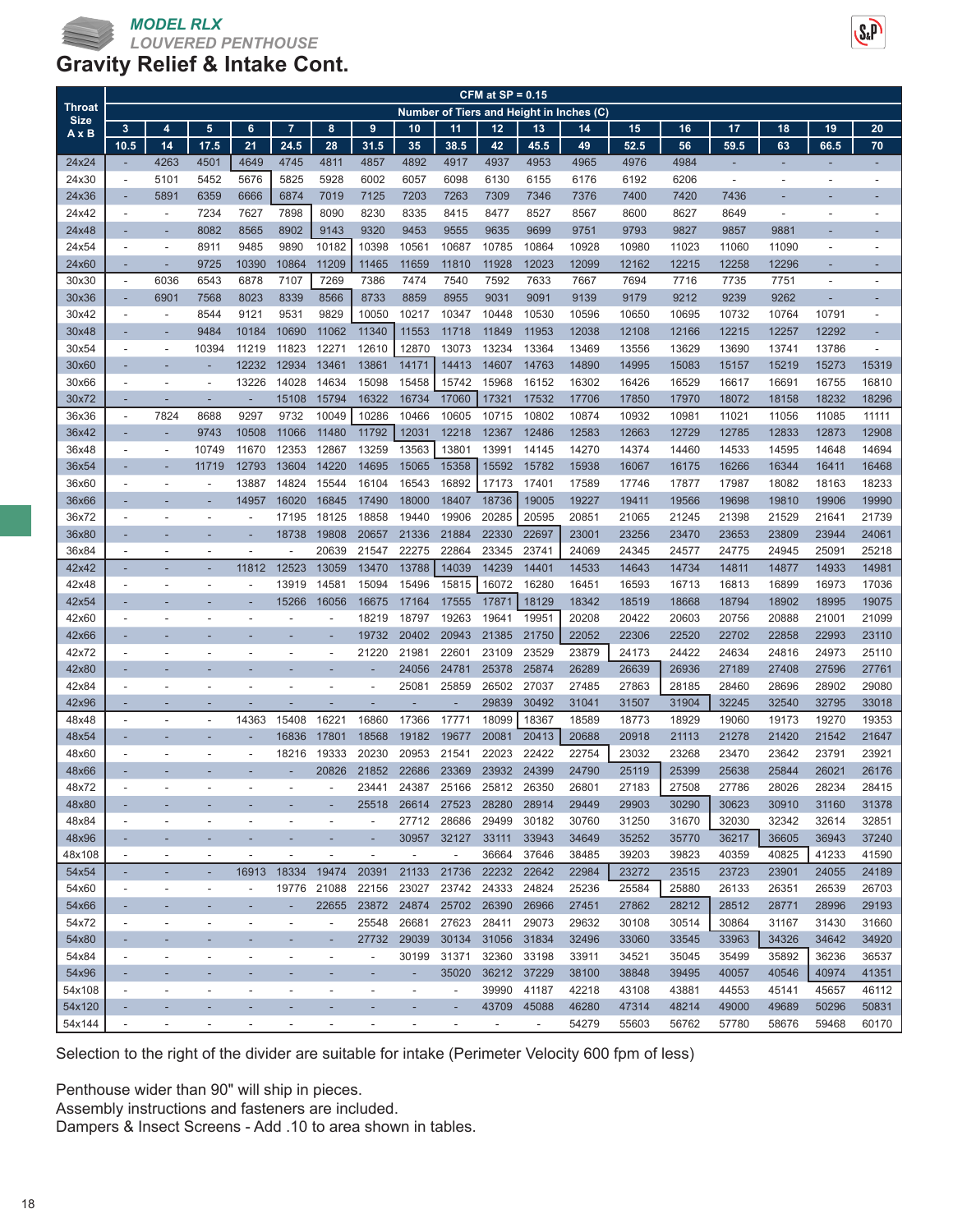

|                              |                          |                          |                          |                          | CFM at $SP = 0.15$<br><b>Number of Tiers and Height in Inches (C)</b> |                          |                          |                          |                          |                          |                          |                |                |                |                |                |                          |                          |
|------------------------------|--------------------------|--------------------------|--------------------------|--------------------------|-----------------------------------------------------------------------|--------------------------|--------------------------|--------------------------|--------------------------|--------------------------|--------------------------|----------------|----------------|----------------|----------------|----------------|--------------------------|--------------------------|
| <b>Throat</b><br><b>Size</b> |                          |                          |                          |                          |                                                                       |                          |                          |                          |                          |                          |                          |                |                |                |                |                |                          |                          |
| $A \times B$                 | 3                        | 4                        | 5                        | 6                        | $\overline{7}$                                                        | 8                        | 9                        | 10                       | 11                       | 12                       | 13                       | 14             | 15             | 16             | 17             | 18             | 19                       | 20                       |
|                              | 10.5                     | 14                       | 17.5                     | 21                       | 24.5                                                                  | 28                       | 31.5                     | 35                       | 38.5                     | 42                       | 45.5                     | 49             | 52.5           | 56             | 59.5           | 63             | 66.5                     | 70                       |
| 24x24                        | ÷,                       | 4263                     | 4501                     | 4649                     | 4745                                                                  | 4811                     | 4857                     | 4892                     | 4917                     | 4937                     | 4953                     | 4965           | 4976           | 4984           |                | ÷,             | н                        |                          |
| 24x30                        | $\overline{\phantom{a}}$ | 5101                     | 5452                     | 5676                     | 5825                                                                  | 5928                     | 6002                     | 6057                     | 6098                     | 6130                     | 6155                     | 6176           | 6192           | 6206           | $\overline{a}$ | ٠              | $\overline{\phantom{a}}$ |                          |
| 24x36                        | ÷,                       | 5891                     | 6359                     | 6666                     | 6874                                                                  | 7019                     | 7125                     | 7203                     | 7263                     | 7309                     | 7346                     | 7376           | 7400           | 7420           | 7436           |                |                          |                          |
| 24x42                        | $\overline{a}$           | $\overline{\phantom{a}}$ | 7234                     | 7627                     | 7898                                                                  | 8090                     | 8230                     | 8335                     | 8415                     | 8477                     | 8527                     | 8567           | 8600           | 8627           | 8649           | $\overline{a}$ | $\overline{\phantom{a}}$ |                          |
| 24x48                        |                          |                          | 8082                     | 8565                     | 8902                                                                  | 9143                     | 9320                     | 9453                     | 9555                     | 9635                     | 9699                     | 9751           | 9793           | 9827           | 9857           | 9881           |                          |                          |
| 24x54                        | $\overline{\phantom{a}}$ | $\overline{\phantom{a}}$ | 8911                     | 9485                     | 9890                                                                  | 10182                    | 10398                    | 10561                    | 10687                    | 10785                    | 10864                    | 10928          | 10980          | 11023          | 11060          | 11090          | $\overline{\phantom{a}}$ |                          |
| 24x60                        | ٠                        | ٠                        | 9725                     | 10390                    | 10864                                                                 | 11209                    | 11465                    | 11659                    | 11810                    | 11928                    | 12023                    | 12099          | 12162          | 12215          | 12258          | 12296          | ٠                        |                          |
| 30x30                        | $\overline{\phantom{a}}$ | 6036                     | 6543                     | 6878                     | 7107                                                                  | 7269                     | 7386                     | 7474                     | 7540                     | 7592                     | 7633                     | 7667           | 7694           | 7716           | 7735           | 7751           | $\overline{\phantom{a}}$ |                          |
| 30x36                        | $\overline{\phantom{a}}$ | 6901                     | 7568                     | 8023                     | 8339                                                                  | 8566                     | 8733                     | 8859                     | 8955                     | 9031                     | 9091                     | 9139           | 9179           | 9212           | 9239           | 9262           | ٠                        |                          |
| 30x42                        | $\overline{a}$           | $\overline{\phantom{a}}$ | 8544                     | 9121                     | 9531                                                                  | 9829                     | 10050                    | 10217                    | 10347                    | 10448                    | 10530                    | 10596          | 10650          | 10695          | 10732          | 10764          | 10791                    |                          |
| 30x48                        |                          |                          | 9484                     | 10184                    | 10690                                                                 | 11062                    | 11340                    | 11553                    | 11718                    | 11849                    | 11953                    | 12038          | 12108          | 12166          | 12215          | 12257          | 12292                    |                          |
| 30x54                        | $\overline{\phantom{a}}$ | $\overline{\phantom{a}}$ | 10394                    | 11219                    | 11823                                                                 | 12271                    | 12610                    | 12870                    | 13073                    | 13234                    | 13364                    | 13469          | 13556          | 13629          | 13690          | 13741          | 13786                    | $\overline{\phantom{a}}$ |
| 30x60                        |                          |                          |                          | 12232                    | 12934                                                                 | 13461                    | 13861                    | 14171                    | 14413                    | 14607                    | 14763                    | 14890          | 14995          | 15083          | 15157          | 15219          | 15273                    | 15319                    |
| 30x66                        | $\overline{\phantom{a}}$ |                          | ٠                        | 13226                    | 14028                                                                 | 14634                    | 15098                    | 15458                    | 15742                    | 15968                    | 16152                    | 16302          | 16426          | 16529          | 16617          | 16691          | 16755                    | 16810                    |
| 30x72                        | ٠<br>$\overline{a}$      | ٠                        |                          | ÷,                       | 15108                                                                 | 15794                    | 16322                    | 16734                    | 17060                    | 17321                    | 17532                    | 17706          | 17850          | 17970          | 18072          | 18158          | 18232                    | 18296                    |
| 36x36<br>36x42               | $\overline{a}$           | 7824                     | 8688<br>9743             | 9297<br>10508            | 9732<br>11066                                                         | 10049<br>11480           | 10286<br>11792           | 10466<br>12031           | 10605<br>12218           | 10715<br>12367           | 10802                    | 10874          | 10932          | 10981<br>12729 | 11021<br>12785 | 11056<br>12833 | 11085<br>12873           | 11111<br>12908           |
| 36x48                        | $\overline{\phantom{a}}$ | ٠                        | 10749                    | 11670                    | 12353                                                                 | 12867                    | 13259                    | 13563                    | 13801                    | 13991                    | 12486<br>14145           | 12583<br>14270 | 12663<br>14374 | 14460          | 14533          | 14595          | 14648                    | 14694                    |
| 36x54                        |                          |                          | 11719                    | 12793                    | 13604                                                                 | 14220                    | 14695                    | 15065                    | 15358                    | 15592                    | 15782                    | 15938          | 16067          | 16175          | 16266          | 16344          | 16411                    | 16468                    |
| 36x60                        | $\overline{a}$           | $\blacksquare$           | $\overline{\phantom{a}}$ | 13887                    | 14824                                                                 | 15544                    | 16104                    | 16543                    | 16892                    | 17173                    | 17401                    | 17589          | 17746          | 17877          | 17987          | 18082          | 18163                    | 18233                    |
| 36x66                        |                          |                          |                          | 14957                    | 16020                                                                 | 16845                    | 17490                    | 18000                    | 18407                    | 18736                    | 19005                    | 19227          | 19411          | 19566          | 19698          | 19810          | 19906                    | 19990                    |
| 36x72                        | $\overline{\phantom{a}}$ |                          | $\overline{\phantom{a}}$ | $\overline{a}$           | 17195                                                                 | 18125                    | 18858                    | 19440                    | 19906                    | 20285                    | 20595                    | 20851          | 21065          | 21245          | 21398          | 21529          | 21641                    | 21739                    |
| 36x80                        |                          |                          |                          | ٠                        | 18738                                                                 | 19808                    | 20657                    | 21336                    | 21884                    | 22330                    | 22697                    | 23001          | 23256          | 23470          | 23653          | 23809          | 23944                    | 24061                    |
| 36x84                        |                          |                          |                          |                          |                                                                       | 20639                    | 21547                    | 22275                    | 22864                    | 23345                    | 23741                    | 24069          | 24345          | 24577          | 24775          | 24945          | 25091                    | 25218                    |
| 42x42                        | ÷                        |                          |                          | 11812                    | 12523                                                                 | 13059                    | 13470                    | 13788                    | 14039                    | 14239                    | 14401                    | 14533          | 14643          | 14734          | 14811          | 14877          | 14933                    | 14981                    |
| 42x48                        |                          |                          |                          |                          | 13919                                                                 | 14581                    | 15094                    | 15496                    | 15815                    | 16072                    | 16280                    | 16451          | 16593          | 16713          | 16813          | 16899          | 16973                    | 17036                    |
| 42x54                        |                          |                          |                          | ÷                        | 15266                                                                 | 16056                    | 16675                    | 17164                    | 17555                    | 17871                    | 18129                    | 18342          | 18519          | 18668          | 18794          | 18902          | 18995                    | 19075                    |
| 42x60                        | $\overline{\phantom{a}}$ | $\overline{\phantom{a}}$ | $\overline{\phantom{a}}$ | ٠                        | ٠                                                                     | $\overline{\phantom{a}}$ | 18219                    | 18797                    | 19263                    | 19641                    | 19951                    | 20208          | 20422          | 20603          | 20756          | 20888          | 21001                    | 21099                    |
| 42x66                        |                          |                          |                          |                          |                                                                       |                          | 19732                    | 20402                    | 20943                    | 21385                    | 21750                    | 22052          | 22306          | 22520          | 22702          | 22858          | 22993                    | 23110                    |
| 42x72                        | $\overline{\phantom{a}}$ | $\overline{\phantom{a}}$ | ٠                        | ٠                        | ٠                                                                     | $\overline{\phantom{a}}$ | 21220                    | 21981                    | 22601                    | 23109                    | 23529                    | 23879          | 24173          | 24422          | 24634          | 24816          | 24973                    | 25110                    |
| 42x80                        |                          |                          |                          |                          |                                                                       |                          |                          | 24056                    | 24781                    | 25378                    | 25874                    | 26289          | 26639          | 26936          | 27189          | 27408          | 27596                    | 27761                    |
| 42x84                        |                          |                          |                          |                          |                                                                       |                          |                          | 25081                    | 25859                    | 26502                    | 27037                    | 27485          | 27863          | 28185          | 28460          | 28696          | 28902                    | 29080                    |
| 42x96                        | ٠                        | ٠                        |                          |                          | ٠                                                                     | ٠                        | ÷                        | ٠                        | ÷,                       | 29839                    | 30492                    | 31041          | 31507          | 31904          | 32245          | 32540          | 32795                    | 33018                    |
| 48x48                        |                          | $\overline{\phantom{a}}$ | ٠                        | 14363                    | 15408                                                                 | 16221                    | 16860                    | 17366                    | 17771                    | 18099                    | 18367                    | 18589          | 18773          | 18929          | 19060          | 19173          | 19270                    | 19353                    |
| 48x54                        | ٠                        |                          |                          | ÷,                       | 16836                                                                 | 17801                    | 18568                    | 19182                    | 19677                    | 20081                    | 20413                    | 20688          | 20918          | 21113          | 21278          | 21420          | 21542                    | 21647                    |
| 48x60                        |                          |                          |                          |                          | 18216                                                                 | 19333                    | 20230                    | 20953                    | 21541                    | 22023                    | 22422                    | 22754          | 23032          | 23268          | 23470          | 23642          | 23791                    | 23921                    |
| 48x66                        |                          |                          |                          |                          |                                                                       | 20826                    | 21852                    | 22686                    | 23369                    | 23932                    | 24399                    | 24790          | 25119          | 25399          | 25638          | 25844          | 26021                    | 26176                    |
| 48x72                        | $\overline{\phantom{a}}$ | $\overline{\phantom{a}}$ | $\overline{\phantom{a}}$ |                          |                                                                       | $\overline{\phantom{a}}$ | 23441                    | 24387                    | 25166                    | 25812                    | 26350                    | 26801          | 27183          | 27508          | 27786          | 28026          | 28234                    | 28415                    |
| 48x80                        |                          |                          |                          |                          |                                                                       |                          | 25518                    | 26614                    | 27523                    | 28280                    | 28914                    | 29449          | 29903          | 30290          | 30623          | 30910          | 31160                    | 31378                    |
| 48x84                        | $\overline{\phantom{a}}$ | $\overline{\phantom{a}}$ | $\overline{\phantom{m}}$ | ÷                        | $\overline{\phantom{a}}$                                              | $\overline{\phantom{a}}$ | $\overline{\phantom{a}}$ | 27712                    | 28686                    | 29499                    | 30182                    | 30760          | 31250          | 31670          | 32030          | 32342          | 32614                    | 32851                    |
| 48x96                        | ٠                        | ٠                        | ٠                        | ٠                        | ٠                                                                     | ٠                        | ٠                        | 30957                    | 32127                    | 33111                    | 33943                    | 34649          | 35252          | 35770          | 36217          | 36605          | 36943                    | 37240                    |
| 48x108                       | $\overline{\phantom{a}}$ | $\overline{\phantom{a}}$ | $\overline{\phantom{a}}$ | $\overline{\phantom{a}}$ | $\qquad \qquad \blacksquare$                                          | $\overline{\phantom{a}}$ | $\overline{a}$           | $\overline{\phantom{a}}$ | $\overline{\phantom{a}}$ | 36664                    | 37646                    | 38485          | 39203          | 39823          | 40359          | 40825          | 41233                    | 41590                    |
| 54x54                        | ٠                        | ٠                        | ٠                        | 16913                    | 18334                                                                 | 19474                    | 20391                    | 21133                    | 21736                    | 22232                    | 22642                    | 22984          | 23272          | 23515          | 23723          | 23901          | 24055                    | 24189                    |
| 54x60                        | $\overline{\phantom{a}}$ | $\overline{\phantom{a}}$ | $\overline{\phantom{a}}$ | $\overline{\phantom{a}}$ | 19776                                                                 | 21088                    | 22156                    | 23027                    | 23742                    | 24333                    | 24824                    | 25236          | 25584          | 25880          | 26133          | 26351          | 26539                    | 26703                    |
| 54x66                        |                          |                          |                          |                          |                                                                       | 22655                    |                          | 23872 24874              | 25702 26390              |                          | 26966                    | 27451          | 27862          | 28212          | 28512          | 28771          | 28996                    | 29193                    |
| 54x72                        | $\overline{\phantom{a}}$ | $\overline{\phantom{a}}$ | $\overline{\phantom{a}}$ | $\blacksquare$           | $\overline{\phantom{a}}$                                              | $\overline{\phantom{a}}$ | 25548                    | 26681                    | 27623                    | 28411                    | 29073                    | 29632          | 30108          | 30514          | 30864          | 31167          | 31430                    | 31660                    |
| 54x80                        |                          |                          |                          |                          | ٠                                                                     |                          | 27732                    | 29039                    | 30134                    | 31056                    | 31834                    | 32496          | 33060          | 33545          | 33963          | 34326          | 34642                    | 34920                    |
| 54x84                        | $\overline{\phantom{a}}$ | $\overline{\phantom{a}}$ | $\overline{\phantom{a}}$ | $\overline{a}$           | $\frac{1}{2}$                                                         | $\overline{\phantom{a}}$ | $\overline{\phantom{a}}$ | 30199                    | 31371                    | 32360                    | 33198                    | 33911          | 34521          | 35045          | 35499          | 35892          | 36236                    | 36537                    |
| 54x96                        | ٠                        | ٠                        | ٠                        | ٠                        | ٠                                                                     |                          | ٠                        | ٠                        | 35020                    | 36212 37229              |                          | 38100          | 38848          | 39495          | 40057          | 40546          | 40974                    | 41351                    |
| 54x108                       | $\overline{\phantom{a}}$ | $\overline{\phantom{a}}$ | $\overline{\phantom{m}}$ | $\overline{a}$           | $\overline{\phantom{a}}$                                              | $\overline{\phantom{a}}$ | $\overline{\phantom{a}}$ | $\overline{\phantom{a}}$ | $\overline{\phantom{a}}$ | 39990                    | 41187                    | 42218          | 43108          | 43881          | 44553          | 45141          | 45657                    | 46112                    |
| 54x120                       | ٠                        | ٠                        |                          | ÷                        | ٠                                                                     |                          | ۳                        |                          | ٠                        | 43709                    | 45088                    | 46280          | 47314          | 48214          | 49000          | 49689          | 50296                    | 50831                    |
| 54x144                       | $\overline{\phantom{a}}$ | $\overline{\phantom{a}}$ | $\overline{\phantom{a}}$ | $\overline{\phantom{a}}$ | $\overline{\phantom{a}}$                                              | $\overline{\phantom{a}}$ | $\overline{\phantom{a}}$ | $\overline{\phantom{a}}$ | $\overline{\phantom{a}}$ | $\overline{\phantom{a}}$ | $\overline{\phantom{a}}$ | 54279          | 55603          | 56762          | 57780          | 58676          | 59468                    | 60170                    |

Selection to the right of the divider are suitable for intake (Perimeter Velocity 600 fpm of less)

Penthouse wider than 90" will ship in pieces.

Assembly instructions and fasteners are included.

Dampers & Insect Screens - Add .10 to area shown in tables.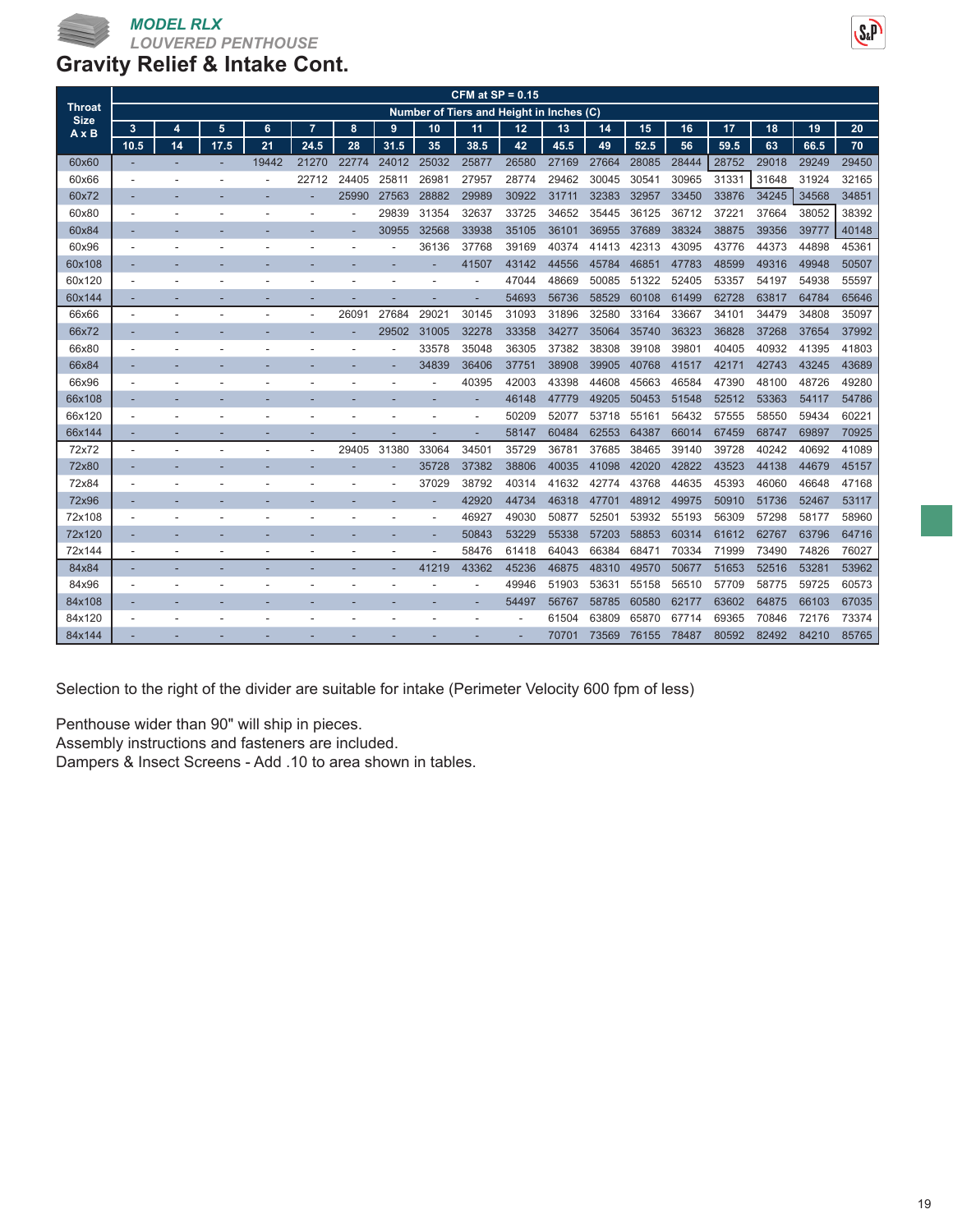

|                              |      |    |      |       |                |       |       |       | CFM at $SP = 0.15$                       |       |       |       |       |       |       |       |       |       |
|------------------------------|------|----|------|-------|----------------|-------|-------|-------|------------------------------------------|-------|-------|-------|-------|-------|-------|-------|-------|-------|
| <b>Throat</b><br><b>Size</b> |      |    |      |       |                |       |       |       | Number of Tiers and Height in Inches (C) |       |       |       |       |       |       |       |       |       |
| $A \times B$                 | 3    | 4  | 5    | 6     | $\overline{7}$ | 8     | 9     | 10    | 11                                       | 12    | 13    | 14    | 15    | 16    | 17    | 18    | 19    | 20    |
|                              | 10.5 | 14 | 17.5 | 21    | 24.5           | 28    | 31.5  | 35    | 38.5                                     | 42    | 45.5  | 49    | 52.5  | 56    | 59.5  | 63    | 66.5  | 70    |
| 60x60                        |      |    |      | 19442 | 21270          | 22774 | 24012 | 25032 | 25877                                    | 26580 | 27169 | 27664 | 28085 | 28444 | 28752 | 29018 | 29249 | 29450 |
| 60x66                        |      |    |      |       | 22712          | 24405 | 25811 | 26981 | 27957                                    | 28774 | 29462 | 30045 | 30541 | 30965 | 31331 | 31648 | 31924 | 32165 |
| 60x72                        |      |    |      |       |                | 25990 | 27563 | 28882 | 29989                                    | 30922 | 31711 | 32383 | 32957 | 33450 | 33876 | 34245 | 34568 | 34851 |
| 60x80                        |      |    |      |       |                |       | 29839 | 31354 | 32637                                    | 33725 | 34652 | 35445 | 36125 | 36712 | 37221 | 37664 | 38052 | 38392 |
| 60x84                        |      |    |      |       |                |       | 30955 | 32568 | 33938                                    | 35105 | 36101 | 36955 | 37689 | 38324 | 38875 | 39356 | 39777 | 40148 |
| 60x96                        |      |    |      |       |                |       |       | 36136 | 37768                                    | 39169 | 40374 | 41413 | 42313 | 43095 | 43776 | 44373 | 44898 | 45361 |
| 60x108                       |      |    |      |       |                |       |       |       | 41507                                    | 43142 | 44556 | 45784 | 46851 | 47783 | 48599 | 49316 | 49948 | 50507 |
| 60x120                       |      |    |      |       |                |       |       |       | ٠                                        | 47044 | 48669 | 50085 | 51322 | 52405 | 53357 | 54197 | 54938 | 55597 |
| 60x144                       |      |    |      |       |                |       |       |       |                                          | 54693 | 56736 | 58529 | 60108 | 61499 | 62728 | 63817 | 64784 | 65646 |
| 66x66                        |      |    |      |       |                | 26091 | 27684 | 29021 | 30145                                    | 31093 | 31896 | 32580 | 33164 | 33667 | 34101 | 34479 | 34808 | 35097 |
| 66x72                        |      |    |      |       |                |       | 29502 | 31005 | 32278                                    | 33358 | 34277 | 35064 | 35740 | 36323 | 36828 | 37268 | 37654 | 37992 |
| 66x80                        |      |    |      |       |                |       |       | 33578 | 35048                                    | 36305 | 37382 | 38308 | 39108 | 39801 | 40405 | 40932 | 41395 | 41803 |
| 66x84                        |      |    |      |       |                |       |       | 34839 | 36406                                    | 37751 | 38908 | 39905 | 40768 | 41517 | 42171 | 42743 | 43245 | 43689 |
| 66x96                        |      |    |      |       |                |       |       |       | 40395                                    | 42003 | 43398 | 44608 | 45663 | 46584 | 47390 | 48100 | 48726 | 49280 |
| 66x108                       |      |    |      |       |                |       |       |       |                                          | 46148 | 47779 | 49205 | 50453 | 51548 | 52512 | 53363 | 54117 | 54786 |
| 66x120                       |      |    |      |       |                |       |       |       |                                          | 50209 | 52077 | 53718 | 55161 | 56432 | 57555 | 58550 | 59434 | 60221 |
| 66x144                       |      |    |      |       |                |       |       |       |                                          | 58147 | 60484 | 62553 | 64387 | 66014 | 67459 | 68747 | 69897 | 70925 |
| 72x72                        |      |    |      |       |                | 29405 | 31380 | 33064 | 34501                                    | 35729 | 36781 | 37685 | 38465 | 39140 | 39728 | 40242 | 40692 | 41089 |
| 72x80                        |      |    |      |       |                |       |       | 35728 | 37382                                    | 38806 | 40035 | 41098 | 42020 | 42822 | 43523 | 44138 | 44679 | 45157 |
| 72x84                        |      |    |      |       |                |       |       | 37029 | 38792                                    | 40314 | 41632 | 42774 | 43768 | 44635 | 45393 | 46060 | 46648 | 47168 |
| 72x96                        |      |    |      |       |                |       |       |       | 42920                                    | 44734 | 46318 | 47701 | 48912 | 49975 | 50910 | 51736 | 52467 | 53117 |
| 72x108                       |      |    |      |       |                |       |       |       | 46927                                    | 49030 | 50877 | 52501 | 53932 | 55193 | 56309 | 57298 | 58177 | 58960 |
| 72x120                       |      |    |      |       |                |       |       |       | 50843                                    | 53229 | 55338 | 57203 | 58853 | 60314 | 61612 | 62767 | 63796 | 64716 |
| 72x144                       |      |    |      |       |                |       |       |       | 58476                                    | 61418 | 64043 | 66384 | 68471 | 70334 | 71999 | 73490 | 74826 | 76027 |
| 84x84                        |      |    |      |       |                |       |       | 41219 | 43362                                    | 45236 | 46875 | 48310 | 49570 | 50677 | 51653 | 52516 | 53281 | 53962 |
| 84x96                        |      |    |      |       |                |       |       |       |                                          | 49946 | 51903 | 53631 | 55158 | 56510 | 57709 | 58775 | 59725 | 60573 |
| 84x108                       |      |    |      |       |                |       |       |       | -                                        | 54497 | 56767 | 58785 | 60580 | 62177 | 63602 | 64875 | 66103 | 67035 |
| 84x120                       |      |    |      |       |                |       |       |       |                                          |       | 61504 | 63809 | 65870 | 67714 | 69365 | 70846 | 72176 | 73374 |
| 84x144                       |      |    |      |       |                |       |       |       |                                          |       | 70701 | 73569 | 76155 | 78487 | 80592 | 82492 | 84210 | 85765 |

Selection to the right of the divider are suitable for intake (Perimeter Velocity 600 fpm of less)

Penthouse wider than 90" will ship in pieces.

Assembly instructions and fasteners are included.

Dampers & Insect Screens - Add .10 to area shown in tables.

 $S_{x}P$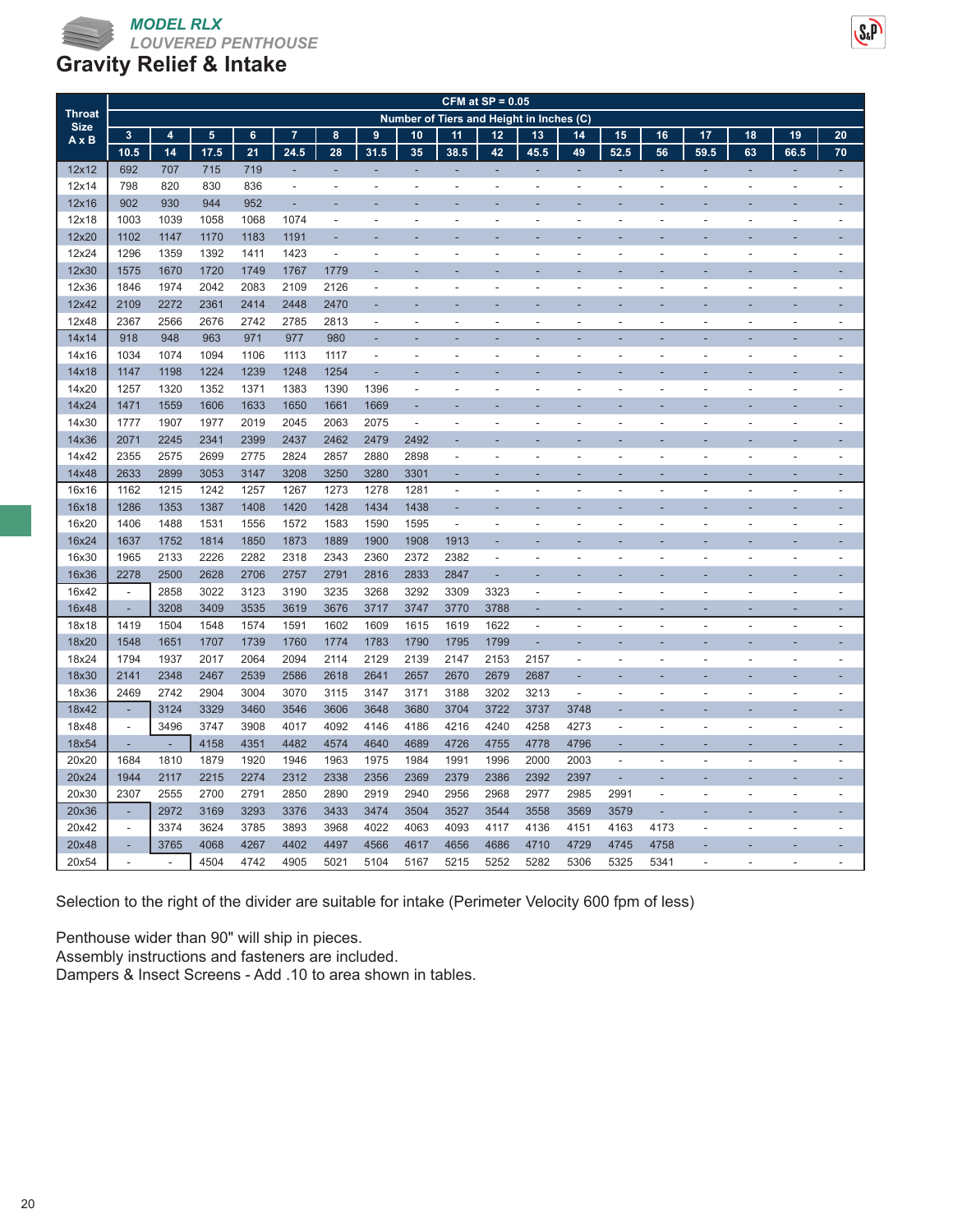

## **Gravity Relief & Intake**

| <b>Throat</b> | CFM at $SP = 0.05$<br>Number of Tiers and Height in Inches (C) |                |                 |                |                |                          |                          |                          |                          |                          |                          |                          |                          |                          |                          |                          |                          |                          |
|---------------|----------------------------------------------------------------|----------------|-----------------|----------------|----------------|--------------------------|--------------------------|--------------------------|--------------------------|--------------------------|--------------------------|--------------------------|--------------------------|--------------------------|--------------------------|--------------------------|--------------------------|--------------------------|
| <b>Size</b>   |                                                                |                |                 |                |                |                          |                          |                          |                          |                          |                          |                          |                          |                          |                          |                          |                          |                          |
| $A \times B$  | $\overline{\mathbf{3}}$                                        | $\overline{4}$ | $5\phantom{.0}$ | $6\phantom{a}$ | $\overline{7}$ | 8                        | 9                        | 10                       | 11                       | 12                       | 13                       | 14                       | 15                       | 16                       | 17                       | 18                       | 19                       | 20                       |
|               | 10.5                                                           | 14             | 17.5            | 21             | 24.5           | 28                       | 31.5                     | 35                       | 38.5                     | 42                       | 45.5                     | 49                       | 52.5                     | 56                       | 59.5                     | 63                       | 66.5                     | 70                       |
| 12x12         | 692                                                            | 707            | 715             | 719            |                | ÷,                       |                          |                          | ÷                        | ÷,                       | ÷,                       | ÷,                       | ÷,                       | ä,                       | ä,                       | ÷,                       | ÷,                       |                          |
| 12x14         | 798                                                            | 820            | 830             | 836            | $\blacksquare$ | $\blacksquare$           | $\overline{\phantom{a}}$ | $\overline{\phantom{a}}$ | $\frac{1}{2}$            | $\sim$                   | $\overline{\phantom{a}}$ | $\blacksquare$           | $\overline{\phantom{a}}$ | L,                       | L,                       | $\overline{\phantom{a}}$ | ä,                       | $\overline{\phantom{a}}$ |
| 12x16         | 902                                                            | 930            | 944             | 952            | ÷.             |                          |                          |                          |                          |                          |                          |                          |                          |                          |                          |                          |                          |                          |
| 12x18         | 1003                                                           | 1039           | 1058            | 1068           | 1074           | $\overline{a}$           | ÷,                       |                          | ÷,                       | L,                       | L.                       | $\overline{a}$           |                          |                          | ÷,                       |                          | ÷,                       | $\overline{a}$           |
| 12x20         | 1102                                                           | 1147           | 1170            | 1183           | 1191           |                          |                          |                          |                          |                          |                          |                          |                          |                          |                          |                          |                          |                          |
| 12x24         | 1296                                                           | 1359           | 1392            | 1411           | 1423           | $\overline{\phantom{a}}$ | $\overline{\phantom{a}}$ | $\overline{\phantom{a}}$ | ÷,                       | $\overline{a}$           | Ĭ.                       | $\overline{a}$           | $\overline{\phantom{a}}$ | $\overline{a}$           | $\overline{a}$           | $\overline{\phantom{a}}$ | ÷,                       | $\overline{a}$           |
| 12x30         | 1575                                                           | 1670           | 1720            | 1749           | 1767           | 1779                     |                          |                          |                          |                          |                          |                          |                          |                          |                          |                          |                          |                          |
| 12x36         | 1846                                                           | 1974           | 2042            | 2083           | 2109           | 2126                     | $\overline{\phantom{a}}$ | $\overline{\phantom{a}}$ | ÷,                       | $\overline{\phantom{m}}$ | Ĭ.                       | $\overline{a}$           | $\overline{\phantom{a}}$ | $\overline{a}$           | $\overline{\phantom{m}}$ | $\overline{\phantom{a}}$ | $\frac{1}{2}$            | ÷,                       |
| 12x42         | 2109                                                           | 2272           | 2361            | 2414           | 2448           | 2470                     | ÷,                       |                          |                          |                          | ÷                        | $\overline{\phantom{a}}$ |                          |                          |                          |                          | ٠                        |                          |
| 12x48         | 2367                                                           | 2566           | 2676            | 2742           | 2785           | 2813                     | $\overline{\phantom{a}}$ | $\overline{a}$           | $\overline{a}$           | $\overline{a}$           | $\overline{\phantom{a}}$ | $\blacksquare$           | $\overline{\phantom{a}}$ | $\overline{a}$           | $\overline{\phantom{a}}$ | ٠                        | $\frac{1}{2}$            | $\overline{\phantom{a}}$ |
| 14x14         | 918                                                            | 948            | 963             | 971            | 977            | 980                      |                          |                          |                          |                          |                          |                          |                          |                          |                          |                          |                          |                          |
| 14x16         | 1034                                                           | 1074           | 1094            | 1106           | 1113           | 1117                     | $\overline{a}$           | $\overline{\phantom{a}}$ | Ĭ.                       | $\overline{a}$           | Ĭ.                       | $\overline{a}$           | $\overline{a}$           | $\overline{a}$           | $\overline{a}$           |                          | $\overline{a}$           | L,                       |
| 14x18         | 1147                                                           | 1198           | 1224            | 1239           | 1248           | 1254                     | ÷,                       |                          |                          |                          |                          |                          |                          |                          |                          |                          | ۰                        |                          |
| 14x20         | 1257                                                           | 1320           | 1352            | 1371           | 1383           | 1390                     | 1396                     | ÷                        | ÷.                       | $\overline{a}$           | ٠                        | $\overline{a}$           | $\overline{a}$           | $\overline{a}$           | $\overline{a}$           |                          | ÷,                       | ÷,                       |
| 14x24         | 1471                                                           | 1559           | 1606            | 1633           | 1650           | 1661                     | 1669                     |                          |                          |                          |                          |                          |                          |                          |                          |                          |                          |                          |
| 14x30         | 1777                                                           | 1907           | 1977            | 2019           | 2045           | 2063                     | 2075                     | $\overline{\phantom{a}}$ | L,                       | L,                       | Ĭ.                       | $\overline{a}$           | $\overline{\phantom{a}}$ | $\overline{\phantom{a}}$ | $\overline{\phantom{a}}$ | $\overline{\phantom{a}}$ | $\overline{\phantom{a}}$ | $\overline{\phantom{a}}$ |
| 14x36         | 2071                                                           | 2245           | 2341            | 2399           | 2437           | 2462                     | 2479                     | 2492                     | ÷,                       | ÷,                       | ł,                       | ÷,                       | ÷,                       | ÷,                       |                          |                          | ÷                        | ÷,                       |
| 14x42         | 2355                                                           | 2575           | 2699            | 2775           | 2824           | 2857                     | 2880                     | 2898                     | $\frac{1}{2}$            | $\overline{a}$           | $\overline{\phantom{a}}$ | $\blacksquare$           | $\overline{a}$           | $\overline{a}$           | L,                       | L,                       | ä,                       | L,                       |
| 14x48         | 2633                                                           | 2899           | 3053            | 3147           | 3208           | 3250                     | 3280                     | 3301                     | ÷,                       |                          |                          | ٠                        |                          | $\overline{a}$           |                          |                          | ۳                        |                          |
| 16x16         | 1162                                                           | 1215           | 1242            | 1257           | 1267           | 1273                     | 1278                     | 1281                     | L,                       | $\overline{a}$           | Ĭ.                       | $\overline{a}$           |                          |                          |                          |                          | L,                       | Ĭ.                       |
| 16x18         | 1286                                                           | 1353           | 1387            | 1408           | 1420           | 1428                     | 1434                     | 1438                     | ٠                        | ÷,                       | ÷,                       | $\overline{\phantom{a}}$ |                          |                          |                          |                          | ÷                        | ÷,                       |
| 16x20         | 1406                                                           | 1488           | 1531            | 1556           | 1572           | 1583                     | 1590                     | 1595                     | $\overline{\phantom{a}}$ | $\overline{a}$           |                          |                          |                          |                          |                          |                          | L,                       |                          |
| 16x24         | 1637                                                           | 1752           | 1814            | 1850           | 1873           | 1889                     | 1900                     | 1908                     | 1913                     | ÷,                       |                          |                          |                          |                          |                          |                          |                          |                          |
| 16x30         | 1965                                                           | 2133           | 2226            | 2282           | 2318           | 2343                     | 2360                     | 2372                     | 2382                     | $\overline{\phantom{a}}$ | $\overline{\phantom{a}}$ | $\overline{a}$           | $\overline{\phantom{a}}$ | Ĭ.                       | $\overline{a}$           | $\overline{\phantom{a}}$ | $\frac{1}{2}$            | ÷,                       |
| 16x36         | 2278                                                           | 2500           | 2628            | 2706           | 2757           | 2791                     | 2816                     | 2833                     | 2847                     | ä,                       | ÷,                       | ٠                        |                          |                          |                          |                          | L,                       |                          |
| 16x42         | $\blacksquare$                                                 | 2858           | 3022            | 3123           | 3190           | 3235                     | 3268                     | 3292                     | 3309                     | 3323                     | $\overline{\phantom{a}}$ | ÷,                       |                          |                          |                          |                          | $\overline{a}$           |                          |
| 16x48         | ÷.                                                             | 3208           | 3409            | 3535           | 3619           | 3676                     | 3717                     | 3747                     | 3770                     | 3788                     | ä,                       | ÷,                       |                          | ٠                        | ٠                        |                          | ä,                       | L,                       |
| 18x18         | 1419                                                           | 1504           | 1548            | 1574           | 1591           | 1602                     | 1609                     | 1615                     | 1619                     | 1622                     | Ĭ.                       | $\overline{a}$           |                          |                          |                          |                          | ٠                        | ٠                        |
| 18x20         | 1548                                                           | 1651           | 1707            | 1739           | 1760           | 1774                     | 1783                     | 1790                     | 1795                     | 1799                     | í,                       |                          |                          |                          |                          |                          |                          |                          |
| 18x24         | 1794                                                           | 1937           | 2017            | 2064           | 2094           | 2114                     | 2129                     | 2139                     | 2147                     | 2153                     | 2157                     | L,                       | $\overline{a}$           | $\overline{a}$           | $\overline{a}$           | $\overline{\phantom{a}}$ | ÷,                       | ÷,                       |
| 18x30         | 2141                                                           | 2348           | 2467            | 2539           | 2586           | 2618                     | 2641                     | 2657                     | 2670                     | 2679                     | 2687                     |                          |                          |                          |                          |                          |                          |                          |
| 18x36         | 2469                                                           | 2742           | 2904            | 3004           | 3070           | 3115                     | 3147                     | 3171                     | 3188                     | 3202                     | 3213                     | $\blacksquare$           | $\blacksquare$           | $\overline{a}$           | $\overline{a}$           | $\overline{\phantom{a}}$ | $\overline{\phantom{m}}$ | ÷,                       |
| 18x42         | ÷.                                                             | 3124           | 3329            | 3460           | 3546           | 3606                     | 3648                     | 3680                     | 3704                     | 3722                     | 3737                     | 3748                     |                          |                          |                          |                          |                          |                          |
| 18x48         | $\overline{\phantom{a}}$                                       | 3496           | 3747            | 3908           | 4017           | 4092                     | 4146                     | 4186                     | 4216                     | 4240                     | 4258                     | 4273                     | $\overline{\phantom{a}}$ | $\overline{a}$           | $\overline{a}$           |                          | L,                       | L,                       |
| 18x54         | ä,                                                             | ÷,             | 4158            | 4351           | 4482           | 4574                     | 4640                     | 4689                     | 4726                     | 4755                     | 4778                     | 4796                     |                          |                          |                          |                          |                          |                          |
| 20x20         | 1684                                                           | 1810           | 1879            | 1920           | 1946           | 1963                     | 1975                     | 1984                     | 1991                     | 1996                     | 2000                     | 2003                     | $\blacksquare$           | $\overline{\phantom{a}}$ | $\overline{a}$           | $\overline{\phantom{a}}$ | ÷,                       | $\overline{\phantom{a}}$ |
| 20x24         | 1944                                                           | 2117           | 2215            | 2274           | 2312           | 2338                     | 2356                     | 2369                     | 2379                     | 2386                     | 2392                     | 2397                     | ÷,                       |                          |                          |                          |                          |                          |
| 20x30         | 2307                                                           | 2555           | 2700            | 2791           | 2850           | 2890                     | 2919                     | 2940                     | 2956                     | 2968                     | 2977                     | 2985                     | 2991                     | $\overline{\phantom{a}}$ | $\overline{\phantom{a}}$ | $\overline{\phantom{a}}$ | $\overline{\phantom{m}}$ | $\overline{\phantom{a}}$ |
| 20x36         | ٠                                                              | 2972           | 3169            | 3293           | 3376           | 3433                     | 3474                     | 3504                     | 3527                     | 3544                     | 3558                     | 3569                     | 3579                     | ÷,                       |                          |                          | ٠                        |                          |
| 20x42         | $\overline{\phantom{a}}$                                       | 3374           | 3624            | 3785           | 3893           | 3968                     | 4022                     | 4063                     | 4093                     | 4117                     | 4136                     | 4151                     | 4163                     | 4173                     | $\overline{\phantom{a}}$ | $\overline{\phantom{a}}$ | $\frac{1}{2}$            | $\overline{\phantom{a}}$ |
| 20x48         |                                                                | 3765           | 4068            | 4267           | 4402           | 4497                     | 4566                     | 4617                     | 4656                     | 4686                     | 4710                     | 4729                     | 4745                     | 4758                     |                          |                          |                          |                          |
| 20x54         | $\blacksquare$                                                 | $\overline{a}$ | 4504            | 4742           | 4905           | 5021                     | 5104                     | 5167                     | 5215                     | 5252                     | 5282                     | 5306                     | 5325                     | 5341                     | $\overline{\phantom{m}}$ | $\overline{\phantom{a}}$ | ä,                       | $\overline{\phantom{a}}$ |

 $S<sub>a</sub>P$ 

Selection to the right of the divider are suitable for intake (Perimeter Velocity 600 fpm of less)

Penthouse wider than 90" will ship in pieces.

Assembly instructions and fasteners are included.

Dampers & Insect Screens - Add .10 to area shown in tables.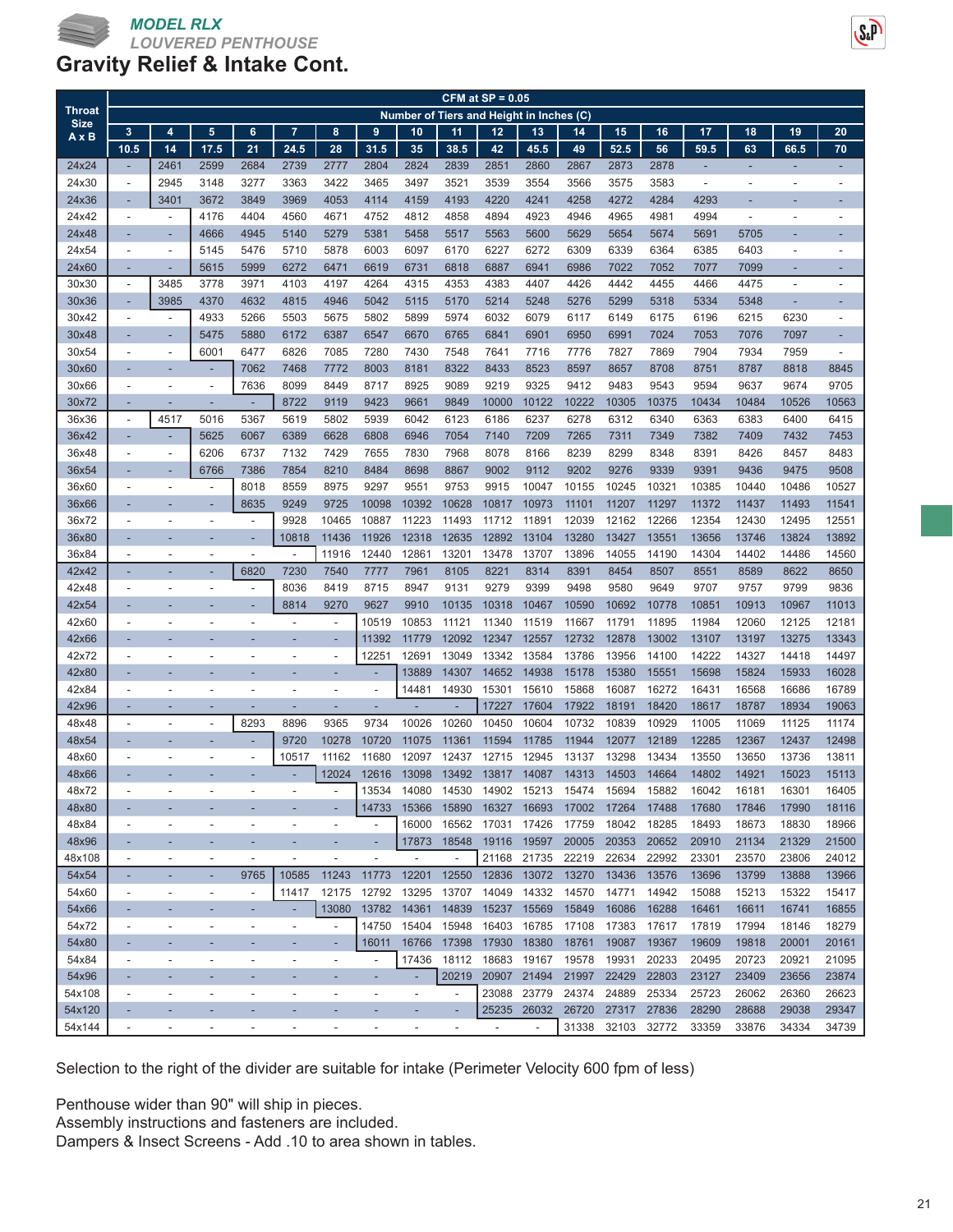

| <b>Throat</b>  | $CFM$ at $SP = 0.05$<br>Number of Tiers and Height in Inches (C) |                          |                          |                          |                          |                          |                          |                          |                          |                          |                          |               |               |               |                          |                          |                          |                |
|----------------|------------------------------------------------------------------|--------------------------|--------------------------|--------------------------|--------------------------|--------------------------|--------------------------|--------------------------|--------------------------|--------------------------|--------------------------|---------------|---------------|---------------|--------------------------|--------------------------|--------------------------|----------------|
| <b>Size</b>    |                                                                  |                          |                          |                          |                          |                          |                          |                          |                          |                          |                          |               |               |               |                          |                          |                          |                |
| $A \times B$   | 3                                                                | $\overline{4}$           | $\overline{5}$           | $6\phantom{a}$           | $\overline{7}$           | 8                        | 9                        | 10                       | 11                       | 12                       | 13                       | 14            | 15            | 16            | 17                       | 18                       | 19                       | 20             |
| 24x24          | 10.5<br>٠                                                        | 14<br>2461               | 17.5<br>2599             | 21<br>2684               | 24.5<br>2739             | 28<br>2777               | 31.5<br>2804             | 35<br>2824               | 38.5<br>2839             | 42<br>2851               | 45.5<br>2860             | 49<br>2867    | 52.5<br>2873  | 56<br>2878    | 59.5<br>÷,               | 63<br>٠                  | 66.5                     | 70             |
| 24x30          | $\overline{\phantom{a}}$                                         | 2945                     | 3148                     | 3277                     | 3363                     | 3422                     | 3465                     | 3497                     | 3521                     | 3539                     | 3554                     | 3566          | 3575          | 3583          | $\overline{\phantom{a}}$ | ٠                        | $\overline{\phantom{a}}$ | $\overline{a}$ |
| 24x36          | ٠                                                                | 3401                     | 3672                     | 3849                     | 3969                     | 4053                     | 4114                     | 4159                     | 4193                     | 4220                     | 4241                     | 4258          | 4272          | 4284          | 4293                     |                          |                          |                |
| 24x42          | $\blacksquare$                                                   | $\overline{\phantom{a}}$ | 4176                     | 4404                     | 4560                     | 4671                     | 4752                     | 4812                     | 4858                     | 4894                     | 4923                     | 4946          | 4965          | 4981          | 4994                     | $\overline{\phantom{a}}$ | $\overline{\phantom{a}}$ | $\overline{a}$ |
| 24x48          | ٠                                                                |                          | 4666                     | 4945                     | 5140                     | 5279                     | 5381                     | 5458                     | 5517                     | 5563                     | 5600                     | 5629          | 5654          | 5674          | 5691                     | 5705                     |                          |                |
| 24x54          | ä,                                                               | $\overline{a}$           | 5145                     | 5476                     | 5710                     | 5878                     | 6003                     | 6097                     | 6170                     | 6227                     | 6272                     | 6309          | 6339          | 6364          | 6385                     | 6403                     | ÷,                       |                |
| 24x60          | ٠                                                                | ٠                        | 5615                     | 5999                     | 6272                     | 6471                     | 6619                     | 6731                     | 6818                     | 6887                     | 6941                     | 6986          | 7022          | 7052          | 7077                     | 7099                     | ٠                        |                |
| 30x30          | $\overline{\phantom{a}}$                                         | 3485                     | 3778                     | 3971                     | 4103                     | 4197                     | 4264                     | 4315                     | 4353                     | 4383                     | 4407                     | 4426          | 4442          | 4455          | 4466                     | 4475                     | $\overline{a}$           | $\overline{a}$ |
| 30x36          | ٠                                                                | 3985                     | 4370                     | 4632                     | 4815                     | 4946                     | 5042                     | 5115                     | 5170                     | 5214                     | 5248                     | 5276          | 5299          | 5318          | 5334                     | 5348                     | ٠                        | ÷,             |
| 30x42          | $\overline{a}$                                                   | $\overline{a}$           | 4933                     | 5266                     | 5503                     | 5675                     | 5802                     | 5899                     | 5974                     | 6032                     | 6079                     | 6117          | 6149          | 6175          | 6196                     | 6215                     | 6230                     | ÷,             |
| 30x48          | ٠                                                                |                          | 5475                     | 5880                     | 6172                     | 6387                     | 6547                     | 6670                     | 6765                     | 6841                     | 6901                     | 6950          | 6991          | 7024          | 7053                     | 7076                     | 7097                     | ٠              |
| 30x54          | $\blacksquare$                                                   | $\overline{\phantom{a}}$ | 6001                     | 6477                     | 6826                     | 7085                     | 7280                     | 7430                     | 7548                     | 7641                     | 7716                     | 7776          | 7827          | 7869          | 7904                     | 7934                     | 7959                     | ÷,             |
| 30x60          |                                                                  |                          | ٠                        | 7062                     | 7468                     | 7772                     | 8003                     | 8181                     | 8322                     | 8433                     | 8523                     | 8597          | 8657          | 8708          | 8751                     | 8787                     | 8818                     | 8845           |
| 30x66          | $\blacksquare$                                                   |                          | ÷,                       | 7636                     | 8099                     | 8449                     | 8717                     | 8925                     | 9089                     | 9219                     | 9325                     | 9412          | 9483          | 9543          | 9594                     | 9637                     | 9674                     | 9705           |
| 30x72          | ٠                                                                | ٠                        | ٠                        | ÷                        | 8722                     | 9119                     | 9423                     | 9661                     | 9849                     | 10000                    | 10122                    | 10222         | 10305         | 10375         | 10434                    | 10484                    | 10526                    | 10563          |
| 36x36          | $\overline{\phantom{a}}$                                         | 4517                     | 5016                     | 5367                     | 5619                     | 5802                     | 5939                     | 6042                     | 6123                     | 6186                     | 6237                     | 6278          | 6312          | 6340          | 6363                     | 6383                     | 6400                     | 6415           |
| 36x42          | ٠                                                                | ٠                        | 5625                     | 6067                     | 6389                     | 6628                     | 6808                     | 6946                     | 7054                     | 7140                     | 7209                     | 7265          | 7311          | 7349          | 7382                     | 7409                     | 7432                     | 7453           |
| 36x48          | $\overline{a}$                                                   | $\overline{a}$           | 6206                     | 6737                     | 7132                     | 7429                     | 7655                     | 7830                     | 7968                     | 8078                     | 8166                     | 8239          | 8299          | 8348          | 8391                     | 8426                     | 8457                     | 8483           |
| 36x54          | ٠                                                                |                          | 6766                     | 7386                     | 7854                     | 8210                     | 8484                     | 8698                     | 8867                     | 9002                     | 9112                     | 9202          | 9276          | 9339          | 9391                     | 9436                     | 9475                     | 9508           |
| 36x60          | $\blacksquare$                                                   | $\overline{\phantom{a}}$ | $\blacksquare$           | 8018                     | 8559                     | 8975                     | 9297                     | 9551                     | 9753                     | 9915                     | 10047                    | 10155         | 10245         | 10321         | 10385                    | 10440                    | 10486                    | 10527          |
| 36x66          |                                                                  |                          |                          | 8635                     | 9249                     | 9725                     | 10098                    | 10392                    | 10628                    | 10817                    | 10973                    | 11101         | 11207         | 11297         | 11372                    | 11437                    | 11493                    | 11541          |
| 36x72          | $\blacksquare$                                                   | $\overline{a}$           | $\overline{a}$           | $\overline{\phantom{a}}$ | 9928                     | 10465                    | 10887                    | 11223                    | 11493                    | 11712                    | 11891                    | 12039         | 12162         | 12266         | 12354                    | 12430                    | 12495                    | 12551          |
| 36x80          | ٠                                                                |                          |                          | ٠                        | 10818                    | 11436                    | 11926                    | 12318                    | 12635                    | 12892                    | 13104                    | 13280         | 13427         | 13551         | 13656                    | 13746                    | 13824                    | 13892          |
| 36x84          |                                                                  |                          | ÷,                       | ä,                       |                          | 11916                    | 12440                    | 12861                    | 13201                    | 13478                    | 13707                    | 13896         | 14055         | 14190         | 14304                    | 14402                    | 14486                    | 14560          |
| 42x42          | r.                                                               |                          |                          | 6820                     | 7230                     | 7540                     | 7777                     | 7961                     | 8105                     | 8221                     | 8314                     | 8391          | 8454          | 8507          | 8551                     | 8589                     | 8622                     | 8650           |
| 42x48<br>42x54 | ÷,                                                               |                          | $\overline{a}$           | $\overline{\phantom{a}}$ | 8036<br>8814             | 8419<br>9270             | 8715<br>9627             | 8947<br>9910             | 9131<br>10135            | 9279<br>10318            | 9399<br>10467            | 9498<br>10590 | 9580<br>10692 | 9649<br>10778 | 9707<br>10851            | 9757<br>10913            | 9799<br>10967            | 9836<br>11013  |
| 42x60          | $\blacksquare$                                                   | $\overline{\phantom{a}}$ | $\blacksquare$           | $\overline{a}$           | $\blacksquare$           | $\overline{\phantom{a}}$ | 10519                    | 10853                    | 11121                    | 11340                    | 11519                    | 11667         | 11791         | 11895         | 11984                    | 12060                    | 12125                    | 12181          |
| 42x66          | ٠                                                                |                          |                          |                          |                          |                          | 11392                    | 11779                    | 12092                    | 12347                    | 12557                    | 12732         | 12878         | 13002         | 13107                    | 13197                    | 13275                    | 13343          |
| 42x72          | $\overline{a}$                                                   | $\overline{\phantom{a}}$ | ٠                        | ٠                        |                          | $\overline{a}$           | 12251                    | 12691                    | 13049                    | 13342                    | 13584                    | 13786         | 13956         | 14100         | 14222                    | 14327                    | 14418                    | 14497          |
| 42x80          | ٠                                                                |                          |                          |                          |                          | ٠                        |                          | 13889                    | 14307                    | 14652                    | 14938                    | 15178         | 15380         | 15551         | 15698                    | 15824                    | 15933                    | 16028          |
| 42x84          | $\blacksquare$                                                   |                          |                          | Ĭ.                       |                          | ÷,                       | ÷,                       | 14481                    | 14930                    | 15301                    | 15610                    | 15868         | 16087         | 16272         | 16431                    | 16568                    | 16686                    | 16789          |
| 42x96          | ٠                                                                | ٠                        | ٠                        | ٠                        | ٠                        | ٠                        | ÷                        | ۳                        |                          | 17227                    | 17604                    | 17922         | 18191         | 18420         | 18617                    | 18787                    | 18934                    | 19063          |
| 48x48          | $\overline{\phantom{a}}$                                         | $\overline{a}$           | $\blacksquare$           | 8293                     | 8896                     | 9365                     | 9734                     | 10026                    | 10260                    | 10450                    | 10604                    | 10732         | 10839         | 10929         | 11005                    | 11069                    | 11125                    | 11174          |
| 48x54          |                                                                  |                          |                          |                          | 9720                     | 10278                    | 10720                    | 11075                    | 11361                    | 11594                    | 11785                    | 11944         | 12077         | 12189         | 12285                    | 12367                    | 12437                    | 12498          |
| 48x60          | $\overline{\phantom{a}}$                                         | $\overline{\phantom{a}}$ | $\overline{\phantom{a}}$ | $\overline{a}$           | 10517                    | 11162                    | 11680                    | 12097                    | 12437                    | 12715                    | 12945                    | 13137         | 13298         | 13434         | 13550                    | 13650                    | 13736                    | 13811          |
| 48x66          | ٠                                                                |                          |                          | ٠                        |                          | 12024                    | 12616                    | 13098                    | 13492                    | 13817                    | 14087                    | 14313         | 14503         | 14664         | 14802                    | 14921                    | 15023                    | 15113          |
| 48x72          |                                                                  |                          |                          |                          |                          |                          | 13534                    | 14080                    | 14530                    | 14902                    | 15213                    | 15474         | 15694         | 15882         | 16042                    | 16181                    | 16301                    | 16405          |
| 48x80          |                                                                  |                          |                          |                          |                          |                          | 14733                    |                          | 15366 15890              | 16327                    | 16693                    | 17002         | 17264         | 17488         | 17680                    | 17846                    | 17990                    | 18116          |
| 48x84          | $\overline{a}$                                                   |                          | ٠                        | ÷,                       |                          | ÷,                       | $\overline{\phantom{a}}$ | 16000                    | 16562                    | 17031                    | 17426                    | 17759         | 18042         | 18285         | 18493                    | 18673                    | 18830                    | 18966          |
| 48x96          | ٠                                                                | ٠                        | ٠                        | ٠                        | ٠                        | ٠                        | ٠                        | 17873                    | 18548                    | 19116                    | 19597                    | 20005         | 20353         | 20652         | 20910                    | 21134                    | 21329                    | 21500          |
| 48x108         | $\overline{\phantom{a}}$                                         | $\overline{\phantom{a}}$ | $\blacksquare$           | $\overline{\phantom{a}}$ | $\overline{\phantom{a}}$ | $\overline{a}$           | $\overline{\phantom{a}}$ | $\overline{\phantom{a}}$ | $\overline{\phantom{a}}$ | 21168                    | 21735                    | 22219         | 22634         | 22992         | 23301                    | 23570                    | 23806                    | 24012          |
| 54x54          | ٠                                                                |                          | ÷,                       | 9765                     | 10585                    | 11243                    | 11773                    | 12201                    | 12550                    | 12836                    | 13072                    | 13270         | 13436         | 13576         | 13696                    | 13799                    | 13888                    | 13966          |
| 54x60          | $\overline{\phantom{a}}$                                         | $\overline{a}$           | $\overline{\phantom{a}}$ | $\overline{\phantom{a}}$ | 11417                    | 12175                    | 12792                    | 13295                    | 13707                    | 14049                    | 14332                    | 14570         | 14771         | 14942         | 15088                    | 15213                    | 15322                    | 15417          |
| 54x66          | ۰                                                                |                          |                          |                          |                          | 13080                    |                          | 13782 14361              | 14839                    | 15237                    | 15569                    | 15849         | 16086         | 16288         | 16461                    | 16611                    | 16741                    | 16855          |
| 54x72          | $\overline{\phantom{a}}$                                         | $\overline{\phantom{m}}$ | $\overline{\phantom{a}}$ | $\overline{a}$           | $\overline{\phantom{a}}$ | $\overline{\phantom{a}}$ | 14750                    | 15404                    | 15948                    | 16403                    | 16785                    | 17108         | 17383         | 17617         | 17819                    | 17994                    | 18146                    | 18279          |
| 54x80          | ٠                                                                |                          |                          |                          |                          |                          | 16011                    | 16766                    | 17398                    | 17930                    | 18380                    | 18761         | 19087         | 19367         | 19609                    | 19818                    | 20001                    | 20161          |
| 54x84          | $\overline{\phantom{a}}$                                         | $\overline{\phantom{m}}$ | $\overline{\phantom{a}}$ | ۰                        |                          | ÷,                       | $\overline{\phantom{a}}$ | 17436                    | 18112                    | 18683                    | 19167                    | 19578         | 19931         | 20233         | 20495                    | 20723                    | 20921                    | 21095          |
| 54x96          | ٠                                                                | ٠                        | ٠                        | ٠                        |                          | ٠                        | ٠                        | ÷                        | 20219                    | 20907                    | 21494                    | 21997         | 22429         | 22803         | 23127                    | 23409                    | 23656                    | 23874          |
| 54x108         | $\overline{\phantom{a}}$                                         | $\overline{\phantom{m}}$ | $\overline{\phantom{a}}$ | $\overline{\phantom{m}}$ | $\overline{\phantom{a}}$ | $\overline{a}$           | $\overline{\phantom{a}}$ | $\overline{\phantom{a}}$ | $\overline{\phantom{a}}$ | 23088                    | 23779                    | 24374         | 24889         | 25334         | 25723                    | 26062                    | 26360                    | 26623          |
| 54x120         | ٠                                                                |                          | ۳                        |                          |                          |                          |                          | ÷,                       | ٠                        | 25235                    | 26032                    | 26720         | 27317         | 27836         | 28290                    | 28688                    | 29038                    | 29347          |
| 54x144         | $\overline{\phantom{a}}$                                         | $\overline{a}$           | $\overline{\phantom{a}}$ | ٠                        | $\overline{\phantom{a}}$ | ÷,                       | ÷,                       | $\overline{\phantom{a}}$ | $\overline{\phantom{a}}$ | $\overline{\phantom{a}}$ | $\overline{\phantom{a}}$ | 31338         | 32103         | 32772         | 33359                    | 33876                    | 34334                    | 34739          |

Selection to the right of the divider are suitable for intake (Perimeter Velocity 600 fpm of less)

Penthouse wider than 90" will ship in pieces.

Assembly instructions and fasteners are included.

Dampers & Insect Screens - Add .10 to area shown in tables.

 $S_{x}P$